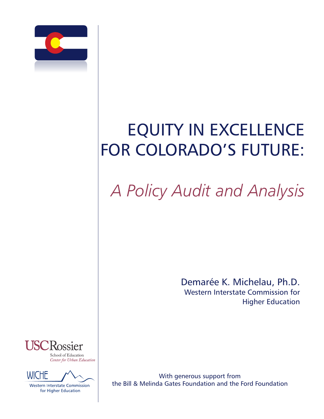

# EQUITY IN EXCELLENCE FOR COLORADO'S FUTURE:

# *A Policy Audit and Analysis*

Demarée K. Michelau, Ph.D. Western Interstate Commission for Higher Education



Center for Urban Education



**Western Interstate Commission** for Higher Education

With generous support from the Bill & Melinda Gates Foundation and the Ford Foundation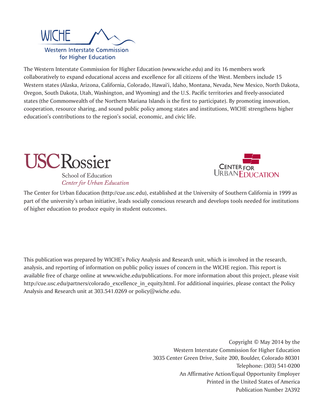

The Western Interstate Commission for Higher Education (www.wiche.edu) and its 16 members work collaboratively to expand educational access and excellence for all citizens of the West. Members include 15 Western states (Alaska, Arizona, California, Colorado, Hawai'i, Idaho, Montana, Nevada, New Mexico, North Dakota, Oregon, South Dakota, Utah, Washington, and Wyoming) and the U.S. Pacific territories and freely-associated states (the Commonwealth of the Northern Mariana Islands is the first to participate). By promoting innovation, cooperation, resource sharing, and sound public policy among states and institutions, WICHE strengthens higher education's contributions to the region's social, economic, and civic life.



School of Education Center for Urban Education



The Center for Urban Education (http://cue.usc.edu), established at the University of Southern California in 1999 as part of the university's urban initiative, leads socially conscious research and develops tools needed for institutions of higher education to produce equity in student outcomes.

This publication was prepared by WICHE's Policy Analysis and Research unit, which is involved in the research, analysis, and reporting of information on public policy issues of concern in the WICHE region. This report is available free of charge online at www.wiche.edu/publications. For more information about this project, please visit http://cue.usc.edu/partners/colorado\_excellence\_in\_equity.html. For additional inquiries, please contact the Policy Analysis and Research unit at 303.541.0269 or policy@wiche.edu.

> Copyright © May 2014 by the Western Interstate Commission for Higher Education 3035 Center Green Drive, Suite 200, Boulder, Colorado 80301 Telephone: (303) 541-0200 An Affirmative Action/Equal Opportunity Employer Printed in the United States of America Publication Number 2A392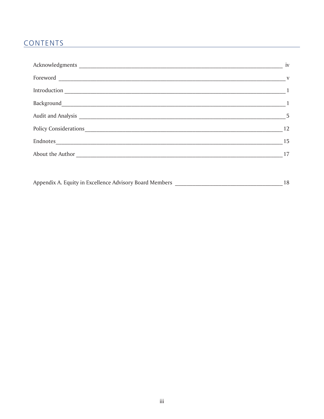# <u>CONTENTS</u>

|                  | iv             |
|------------------|----------------|
|                  | $\overline{V}$ |
|                  |                |
|                  |                |
|                  | $\overline{5}$ |
|                  | 12             |
| Endnotes         | 15             |
| About the Author | 17             |
|                  |                |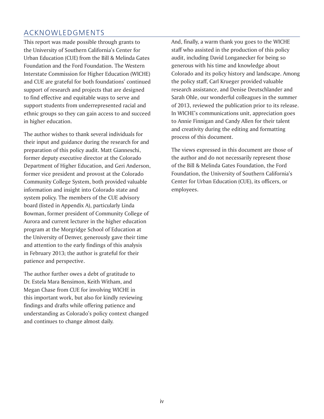# ACKNOWLEDGMENTS

This report was made possible through grants to the University of Southern California's Center for Urban Education (CUE) from the Bill & Melinda Gates Foundation and the Ford Foundation. The Western Interstate Commission for Higher Education (WICHE) and CUE are grateful for both foundations' continued support of research and projects that are designed to find effective and equitable ways to serve and support students from underrepresented racial and ethnic groups so they can gain access to and succeed in higher education.

The author wishes to thank several individuals for their input and guidance during the research for and preparation of this policy audit. Matt Gianneschi, former deputy executive director at the Colorado Department of Higher Education, and Geri Anderson, former vice president and provost at the Colorado Community College System, both provided valuable information and insight into Colorado state and system policy. The members of the CUE advisory board (listed in Appendix A), particularly Linda Bowman, former president of Community College of Aurora and current lecturer in the higher education program at the Morgridge School of Education at the University of Denver, generously gave their time and attention to the early findings of this analysis in February 2013; the author is grateful for their patience and perspective.

The author further owes a debt of gratitude to Dr. Estela Mara Bensimon, Keith Witham, and Megan Chase from CUE for involving WICHE in this important work, but also for kindly reviewing findings and drafts while offering patience and understanding as Colorado's policy context changed and continues to change almost daily.

And, finally, a warm thank you goes to the WICHE staff who assisted in the production of this policy audit, including David Longanecker for being so generous with his time and knowledge about Colorado and its policy history and landscape. Among the policy staff, Carl Krueger provided valuable research assistance, and Denise Deutschlander and Sarah Ohle, our wonderful colleagues in the summer of 2013, reviewed the publication prior to its release. In WICHE's communications unit, appreciation goes to Annie Finnigan and Candy Allen for their talent and creativity during the editing and formatting process of this document.

The views expressed in this document are those of the author and do not necessarily represent those of the Bill & Melinda Gates Foundation, the Ford Foundation, the University of Southern California's Center for Urban Education (CUE), its officers, or employees.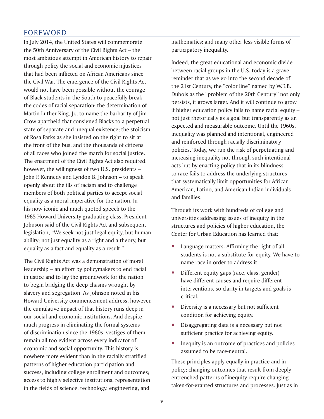## FOREWORD

In July 2014, the United States will commemorate the 50th Anniversary of the Civil Rights Act – the most ambitious attempt in American history to repair through policy the social and economic injustices that had been inflicted on African Americans since the Civil War. The emergence of the Civil Rights Act would not have been possible without the courage of Black students in the South to peacefully break the codes of racial separation; the determination of Martin Luther King, Jr., to name the barbarity of Jim Crow apartheid that consigned Blacks to a perpetual state of separate and unequal existence; the stoicism of Rosa Parks as she insisted on the right to sit at the front of the bus; and the thousands of citizens of all races who joined the march for social justice. The enactment of the Civil Rights Act also required, however, the willingness of two U.S. presidents – John F. Kennedy and Lyndon B. Johnson – to speak openly about the ills of racism and to challenge members of both political parties to accept social equality as a moral imperative for the nation. In his now iconic and much quoted speech to the 1965 Howard University graduating class, President Johnson said of the Civil Rights Act and subsequent legislation, "We seek not just legal equity, but human ability; not just equality as a right and a theory, but equality as a fact and equality as a result."

The Civil Rights Act was a demonstration of moral leadership – an effort by policymakers to end racial injustice and to lay the groundwork for the nation to begin bridging the deep chasms wrought by slavery and segregation. As Johnson noted in his Howard University commencement address, however, the cumulative impact of that history runs deep in our social and economic institutions. And despite much progress in eliminating the formal systems of discrimination since the 1960s, vestiges of them remain all too evident across every indicator of economic and social opportunity. This history is nowhere more evident than in the racially stratified patterns of higher education participation and success, including college enrollment and outcomes; access to highly selective institutions; representation in the fields of science, technology, engineering, and

mathematics; and many other less visible forms of participatory inequality.

Indeed, the great educational and economic divide between racial groups in the U.S. today is a grave reminder that as we go into the second decade of the 21st Century, the "color line" named by W.E.B. Dubois as the "problem of the 20th Century" not only persists, it grows larger. And it will continue to grow if higher education policy fails to name racial equity – not just rhetorically as a goal but transparently as an expected and measurable outcome. Until the 1960s, inequality was planned and intentional, engineered and reinforced through racially discriminatory policies. Today, we run the risk of perpetuating and increasing inequality not through such intentional acts but by enacting policy that in its blindness to race fails to address the underlying structures that systematically limit opportunities for African American, Latino, and American Indian individuals and families.

Through its work with hundreds of college and universities addressing issues of inequity in the structures and policies of higher education, the Center for Urban Education has learned that:

- Language matters. Affirming the right of all students is not a substitute for equity. We have to name race in order to address it.
- Different equity gaps (race, class, gender) have different causes and require different interventions, so clarity in targets and goals is critical.
- Diversity is a necessary but not sufficient condition for achieving equity.
- Disaggregating data is a necessary but not sufficient practice for achieving equity.
- Inequity is an outcome of practices and policies assumed to be race-neutral.

These principles apply equally in practice and in policy; changing outcomes that result from deeply entrenched patterns of inequity require changing taken-for-granted structures and processes. Just as in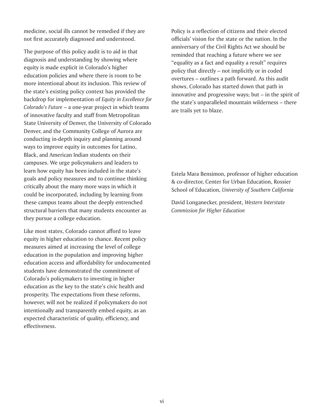medicine, social ills cannot be remedied if they are not first accurately diagnosed and understood.

The purpose of this policy audit is to aid in that diagnosis and understanding by showing where equity is made explicit in Colorado's higher education policies and where there is room to be more intentional about its inclusion. This review of the state's existing policy context has provided the backdrop for implementation of *Equity in Excellence for Colorado's Future* – a one-year project in which teams of innovative faculty and staff from Metropolitan State University of Denver, the University of Colorado Denver, and the Community College of Aurora are conducting in-depth inquiry and planning around ways to improve equity in outcomes for Latino, Black, and American Indian students on their campuses. We urge policymakers and leaders to learn how equity has been included in the state's goals and policy measures and to continue thinking critically about the many more ways in which it could be incorporated, including by learning from these campus teams about the deeply entrenched structural barriers that many students encounter as they pursue a college education.

Like most states, Colorado cannot afford to leave equity in higher education to chance. Recent policy measures aimed at increasing the level of college education in the population and improving higher education access and affordability for undocumented students have demonstrated the commitment of Colorado's policymakers to investing in higher education as the key to the state's civic health and prosperity. The expectations from these reforms, however, will not be realized if policymakers do not intentionally and transparently embed equity, as an expected characteristic of quality, efficiency, and effectiveness.

Policy is a reflection of citizens and their elected officials' vision for the state or the nation. In the anniversary of the Civil Rights Act we should be reminded that reaching a future where we see "equality as a fact and equality a result" requires policy that directly – not implicitly or in coded overtures – outlines a path forward. As this audit shows, Colorado has started down that path in innovative and progressive ways; but – in the spirit of the state's unparalleled mountain wilderness – there are trails yet to blaze.

Estela Mara Bensimon, professor of higher education & co-director, Center for Urban Education, Rossier School of Education, *University of Southern California*

David Longanecker, president, *Western Interstate Commission for Higher Education*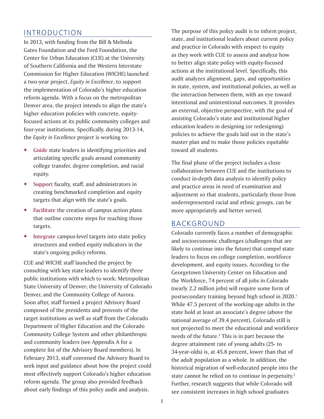## INTRODUCTION

In 2013, with funding from the Bill & Melinda Gates Foundation and the Ford Foundation, the Center for Urban Education (CUE) at the University of Southern California and the Western Interstate Commission for Higher Education (WICHE) launched a two-year project, *Equity in Excellence*, to support the implementation of Colorado's higher education reform agenda. With a focus on the metropolitan Denver area, the project intends to align the state's higher education policies with concrete, equityfocused actions at its public community colleges and four-year institutions. Specifically, during 2013-14, the *Equity in Excellence* project is working to:

- **•** Guide state leaders in identifying priorities and articulating specific goals around community college transfer, degree completion, and racial equity.
- Support faculty, staff, and administrators in creating benchmarked completion and equity targets that align with the state's goals.
- Facilitate the creation of campus action plans that outline concrete steps for reaching those targets.
- Integrate campus-level targets into state policy structures and embed equity indicators in the state's ongoing policy reforms.

CUE and WICHE staff launched the project by consulting with key state leaders to identify three public institutions with which to work: Metropolitan State University of Denver; the University of Colorado Denver, and the Community College of Aurora. Soon after, staff formed a project Advisory Board composed of the presidents and provosts of the target institutions as well as staff from the Colorado Department of Higher Education and the Colorado Community College System and other philanthropic and community leaders (see Appendix A for a complete list of the Advisory Board members). In February 2013, staff convened the Advisory Board to seek input and guidance about how the project could most effectively support Colorado's higher education reform agenda. The group also provided feedback about early findings of this policy audit and analysis.

The purpose of this policy audit is to inform project, state, and institutional leaders about current policy and practice in Colorado with respect to equity as they work with CUE to assess and analyze how to better align state policy with equity-focused actions at the institutional level. Specifically, this audit analyzes alignment, gaps, and opportunities in state, system, and institutional policies, as well as the interaction between them, with an eye toward intentional and unintentional outcomes. It provides an external, objective perspective, with the goal of assisting Colorado's state and institutional higher education leaders in designing (or redesigning) policies to achieve the goals laid out in the state's master plan and to make those policies equitable toward all students.

The final phase of the project includes a close collaboration between CUE and the institutions to conduct in-depth data analysis to identify policy and practice areas in need of examination and adjustment so that students, particularly those from underrepresented racial and ethnic groups, can be more appropriately and better served.

## BACKGROUND

Colorado currently faces a number of demographic and socioeconomic challenges (challenges that are likely to continue into the future) that compel state leaders to focus on college completion, workforce development, and equity issues. According to the Georgetown University Center on Education and the Workforce, 74 percent of all jobs in Colorado (nearly 2.2 million jobs) will require some form of postsecondary training beyond high school in 2020.<sup>1</sup> While 47.5 percent of the working-age adults in the state hold at least an associate's degree (above the national average of 39.4 percent), Colorado still is not projected to meet the educational and workforce needs of the future. $<sup>2</sup>$  This is in part because the</sup> degree attainment rate of young adults (25- to 34-year-olds) is, at 45.8 percent, lower than that of the adult population as a whole. In addition, the historical migration of well-educated people into the state cannot be relied on to continue in perpetuity.<sup>3</sup> Further, research suggests that while Colorado will see consistent increases in high school graduates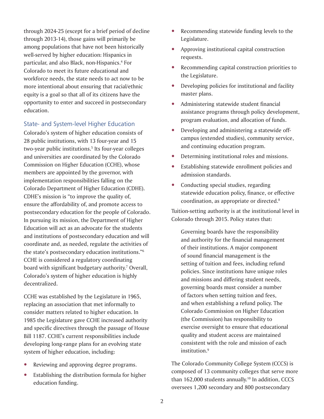through 2024-25 (except for a brief period of decline through 2013-14), those gains will primarily be among populations that have not been historically well-served by higher education: Hispanics in particular, and also Black, non-Hispanics.4 For Colorado to meet its future educational and workforce needs, the state needs to act now to be more intentional about ensuring that racial/ethnic equity is a goal so that all of its citizens have the opportunity to enter and succeed in postsecondary education.

### State- and System-level Higher Education

Colorado's system of higher education consists of 28 public institutions, with 13 four-year and 15 two-year public institutions.5 Its four-year colleges and universities are coordinated by the Colorado Commission on Higher Education (CCHE), whose members are appointed by the governor, with implementation responsibilities falling on the Colorado Department of Higher Education (CDHE). CDHE's mission is "to improve the quality of, ensure the affordability of, and promote access to postsecondary education for the people of Colorado. In pursuing its mission, the Department of Higher Education will act as an advocate for the students and institutions of postsecondary education and will coordinate and, as needed, regulate the activities of the state's postsecondary education institutions."6 CCHE is considered a regulatory coordinating board with significant budgetary authority.<sup>7</sup> Overall, Colorado's system of higher education is highly decentralized.

CCHE was established by the Legislature in 1965, replacing an association that met informally to consider matters related to higher education. In 1985 the Legislature gave CCHE increased authority and specific directives through the passage of House Bill 1187. CCHE's current responsibilities include developing long-range plans for an evolving state system of higher education, including:

- Reviewing and approving degree programs.
- Establishing the distribution formula for higher education funding.
- Recommending statewide funding levels to the Legislature.
- Approving institutional capital construction requests.
- Recommending capital construction priorities to the Legislature.
- $\bullet$  Developing policies for institutional and facility master plans.
- Administering statewide student financial assistance programs through policy development, program evaluation, and allocation of funds.
- Developing and administering a statewide offcampus (extended studies), community service, and continuing education program.
- Determining institutional roles and missions.
- Establishing statewide enrollment policies and admission standards.
- Conducting special studies, regarding statewide education policy, finance, or effective coordination, as appropriate or directed.8

Tuition-setting authority is at the institutional level in Colorado through 2015. Policy states that:

Governing boards have the responsibility and authority for the financial management of their institutions. A major component of sound financial management is the setting of tuition and fees, including refund policies. Since institutions have unique roles and missions and differing student needs, governing boards must consider a number of factors when setting tuition and fees, and when establishing a refund policy. The Colorado Commission on Higher Education (the Commission) has responsibility to exercise oversight to ensure that educational quality and student access are maintained consistent with the role and mission of each institution.<sup>9</sup>

The Colorado Community College System (CCCS) is composed of 13 community colleges that serve more than 162,000 students annually.10 In addition, CCCS oversees 1,200 secondary and 800 postsecondary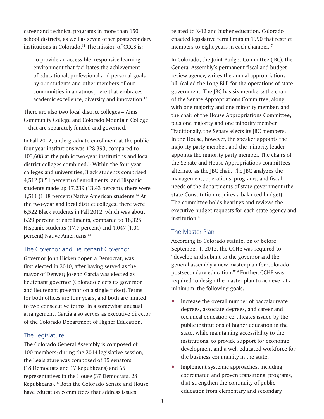career and technical programs in more than 150 school districts, as well as seven other postsecondary institutions in Colorado.<sup>11</sup> The mission of CCCS is:

To provide an accessible, responsive learning environment that facilitates the achievement of educational, professional and personal goals by our students and other members of our communities in an atmosphere that embraces academic excellence, diversity and innovation.<sup>12</sup>

There are also two local district colleges – Aims Community College and Colorado Mountain College – that are separately funded and governed.

In Fall 2012, undergraduate enrollment at the public four-year institutions was 128,393, compared to 103,608 at the public two-year institutions and local district colleges combined.13 Within the four-year colleges and universities, Black students comprised 4,512 (3.51 percent) of enrollments, and Hispanic students made up 17,239 (13.43 percent); there were 1,511 (1.18 percent) Native American students.14 At the two-year and local district colleges, there were 6,522 Black students in Fall 2012, which was about 6.29 percent of enrollments, compared to 18,325 Hispanic students (17.7 percent) and 1,047 (1.01 percent) Native Americans.15

### The Governor and Lieutenant Governor

Governor John Hickenlooper, a Democrat, was first elected in 2010, after having served as the mayor of Denver; Joseph Garcia was elected as lieutenant governor (Colorado elects its governor and lieutenant governor on a single ticket). Terms for both offices are four years, and both are limited to two consecutive terms. In a somewhat unusual arrangement, Garcia also serves as executive director of the Colorado Department of Higher Education.

## The Legislature

The Colorado General Assembly is composed of 100 members; during the 2014 legislative session, the Legislature was composed of 35 senators (18 Democrats and 17 Republicans) and 65 representatives in the House (37 Democrats, 28 Republicans).16 Both the Colorado Senate and House have education committees that address issues

related to K-12 and higher education. Colorado enacted legislative term limits in 1990 that restrict members to eight years in each chamber.<sup>17</sup>

In Colorado, the Joint Budget Committee (JBC), the General Assembly's permanent fiscal and budget review agency, writes the annual appropriations bill (called the Long Bill) for the operations of state government. The JBC has six members: the chair of the Senate Appropriations Committee, along with one majority and one minority member; and the chair of the House Appropriations Committee, plus one majority and one minority member. Traditionally, the Senate elects its JBC members. In the House, however, the speaker appoints the majority party member, and the minority leader appoints the minority party member. The chairs of the Senate and House Appropriations committees alternate as the JBC chair. The JBC analyzes the management, operations, programs, and fiscal needs of the departments of state government (the state Constitution requires a balanced budget). The committee holds hearings and reviews the executive budget requests for each state agency and institution.18

## The Master Plan

According to Colorado statute, on or before September 1, 2012, the CCHE was required to, "develop and submit to the governor and the general assembly a new master plan for Colorado postsecondary education."19 Further, CCHE was required to design the master plan to achieve, at a minimum, the following goals.

- Increase the overall number of baccalaureate degrees, associate degrees, and career and technical education certificates issued by the public institutions of higher education in the state, while maintaining accessibility to the institutions, to provide support for economic development and a well-educated workforce for the business community in the state.
- Implement systemic approaches, including coordinated and proven transitional programs, that strengthen the continuity of public education from elementary and secondary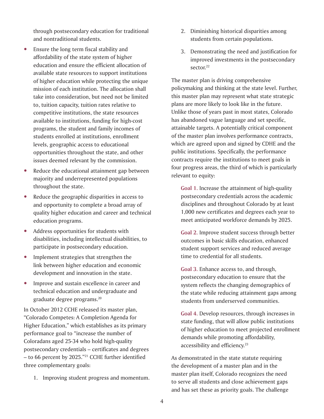through postsecondary education for traditional and nontraditional students.

- Ensure the long term fiscal stability and affordability of the state system of higher education and ensure the efficient allocation of available state resources to support institutions of higher education while protecting the unique mission of each institution. The allocation shall take into consideration, but need not be limited to, tuition capacity, tuition rates relative to competitive institutions, the state resources available to institutions, funding for high-cost programs, the student and family incomes of students enrolled at institutions, enrollment levels, geographic access to educational opportunities throughout the state, and other issues deemed relevant by the commission.
- Reduce the educational attainment gap between majority and underrepresented populations throughout the state.
- Reduce the geographic disparities in access to and opportunity to complete a broad array of quality higher education and career and technical education programs.
- Address opportunities for students with disabilities, including intellectual disabilities, to participate in postsecondary education.
- Implement strategies that strengthen the link between higher education and economic development and innovation in the state.
- Improve and sustain excellence in career and technical education and undergraduate and graduate degree programs.20

In October 2012 CCHE released its master plan, "Colorado Competes: A Completion Agenda for Higher Education," which establishes as its primary performance goal to "increase the number of Coloradans aged 25-34 who hold high-quality postsecondary credentials – certificates and degrees – to 66 percent by 2025."21 CCHE further identified three complementary goals:

1. Improving student progress and momentum.

- 2. Diminishing historical disparities among students from certain populations.
- 3. Demonstrating the need and justification for improved investments in the postsecondary sector.<sup>22</sup>

The master plan is driving comprehensive policymaking and thinking at the state level. Further, this master plan may represent what state strategic plans are more likely to look like in the future. Unlike those of years past in most states, Colorado has abandoned vague language and set specific, attainable targets. A potentially critical component of the master plan involves performance contracts, which are agreed upon and signed by CDHE and the public institutions. Specifically, the performance contracts require the institutions to meet goals in four progress areas, the third of which is particularly relevant to equity:

**Goal 1.** Increase the attainment of high-quality postsecondary credentials across the academic disciplines and throughout Colorado by at least 1,000 new certificates and degrees each year to meet anticipated workforce demands by 2025.

**Goal 2.** Improve student success through better outcomes in basic skills education, enhanced student support services and reduced average time to credential for all students.

**Goal 3.** Enhance access to, and through, postsecondary education to ensure that the system reflects the changing demographics of the state while reducing attainment gaps among students from underserved communities.

**Goal 4.** Develop resources, through increases in state funding, that will allow public institutions of higher education to meet projected enrollment demands while promoting affordability, accessibility and efficiency.<sup>23</sup>

As demonstrated in the state statute requiring the development of a master plan and in the master plan itself, Colorado recognizes the need to serve all students and close achievement gaps and has set these as priority goals. The challenge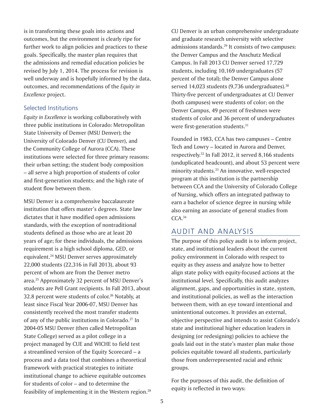is in transforming these goals into actions and outcomes, but the environment is clearly ripe for further work to align policies and practices to these goals. Specifically, the master plan requires that the admissions and remedial education policies be revised by July 1, 2014. The process for revision is well underway and is hopefully informed by the data, outcomes, and recommendations of the *Equity in Excellence* project.

#### Selected Institutions

*Equity in Excellence* is working collaboratively with three public institutions in Colorado: Metropolitan State University of Denver (MSU Denver); the University of Colorado Denver (CU Denver), and the Community College of Aurora (CCA). These institutions were selected for three primary reasons: their urban setting; the student body composition – all serve a high proportion of students of color and first-generation students; and the high rate of student flow between them.

MSU Denver is a comprehensive baccalaureate institution that offers master's degrees. State law dictates that it have modified open admissions standards, with the exception of nontraditional students defined as those who are at least 20 years of age; for these individuals, the admissions requirement is a high school diploma, GED, or equivalent.24 MSU Denver serves approximately 22,000 students (22,316 in Fall 2013), about 93 percent of whom are from the Denver metro area.25 Approximately 32 percent of MSU Denver's students are Pell Grant recipients. In Fall 2013, about 32.8 percent were students of color.<sup>26</sup> Notably, at least since Fiscal Year 2006-07, MSU Denver has consistently received the most transfer students of any of the public institutions in Colorado.<sup>27</sup> In 2004-05 MSU Denver (then called Metropolitan State College) served as a pilot college in a project managed by CUE and WICHE to field test a streamlined version of the Equity Scorecard – a process and a data tool that combines a theoretical framework with practical strategies to initiate institutional change to achieve equitable outcomes for students of color – and to determine the feasibility of implementing it in the Western region.28 CU Denver is an urban comprehensive undergraduate and graduate research university with selective admissions standards.<sup>29</sup> It consists of two campuses: the Denver Campus and the Anschutz Medical Campus. In Fall 2013 CU Denver served 17,729 students, including 10,169 undergraduates (57 percent of the total); the Denver Campus alone served 14,023 students (9,736 undergraduates).<sup>30</sup> Thirty-five percent of undergraduates at CU Denver (both campuses) were students of color; on the Denver Campus, 49 percent of freshmen were students of color and 36 percent of undergraduates were first-generation students.<sup>31</sup>

Founded in 1983, CCA has two campuses – Centre Tech and Lowry – located in Aurora and Denver, respectively.32 In Fall 2012, it served 8,166 students (unduplicated headcount), and about 53 percent were minority students.<sup>33</sup> An innovative, well-respected program at this institution is the partnership between CCA and the University of Colorado College of Nursing, which offers an integrated pathway to earn a bachelor of science degree in nursing while also earning an associate of general studies from CCA.<sup>34</sup>

## AUDIT AND ANALYSIS

The purpose of this policy audit is to inform project, state, and institutional leaders about the current policy environment in Colorado with respect to equity as they assess and analyze how to better align state policy with equity-focused actions at the institutional level. Specifically, this audit analyzes alignment, gaps, and opportunities in state, system, and institutional policies, as well as the interaction between them, with an eye toward intentional and unintentional outcomes. It provides an external, objective perspective and intends to assist Colorado's state and institutional higher education leaders in designing (or redesigning) policies to achieve the goals laid out in the state's master plan make those policies equitable toward all students, particularly those from underrepresented racial and ethnic groups.

For the purposes of this audit, the definition of equity is reflected in two ways: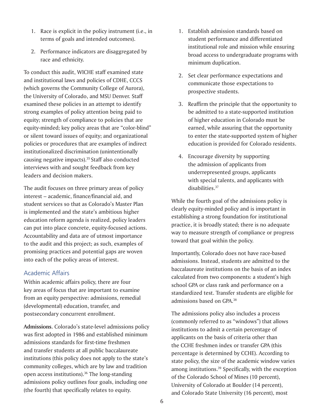- 1. Race is explicit in the policy instrument (i.e., in terms of goals and intended outcomes).
- 2. Performance indicators are disaggregated by race and ethnicity.

To conduct this audit, WICHE staff examined state and institutional laws and policies of CDHE, CCCS (which governs the Community College of Aurora), the University of Colorado, and MSU Denver. Staff examined these policies in an attempt to identify strong examples of policy attention being paid to equity; strength of compliance to policies that are equity-minded; key policy areas that are "color-blind" or silent toward issues of equity; and organizational policies or procedures that are examples of indirect institutionalized discrimination (unintentionally causing negative impacts).<sup>35</sup> Staff also conducted interviews with and sought feedback from key leaders and decision makers.

The audit focuses on three primary areas of policy interest – academic, finance/financial aid, and student services so that as Colorado's Master Plan is implemented and the state's ambitious higher education reform agenda is realized, policy leaders can put into place concrete, equity-focused actions. Accountability and data are of utmost importance to the audit and this project; as such, examples of promising practices and potential gaps are woven into each of the policy areas of interest.

## Academic Affairs

Within academic affairs policy, there are four key areas of focus that are important to examine from an equity perspective: admissions, remedial (developmental) education, transfer, and postsecondary concurrent enrollment.

**Admissions.** Colorado's state-level admissions policy was first adopted in 1986 and established minimum admissions standards for first-time freshmen and transfer students at all public baccalaureate institutions (this policy does not apply to the state's community colleges, which are by law and tradition open access institutions).36 The long-standing admissions policy outlines four goals, including one (the fourth) that specifically relates to equity.

- 1. Establish admission standards based on student performance and differentiated institutional role and mission while ensuring broad access to undergraduate programs with minimum duplication.
- 2. Set clear performance expectations and communicate those expectations to prospective students.
- 3. Reaffirm the principle that the opportunity to be admitted to a state-supported institution of higher education in Colorado must be earned, while assuring that the opportunity to enter the state-supported system of higher education is provided for Colorado residents.
- 4. Encourage diversity by supporting the admission of applicants from underrepresented groups, applicants with special talents, and applicants with disabilities.37

While the fourth goal of the admissions policy is clearly equity-minded policy and is important in establishing a strong foundation for institutional practice, it is broadly stated; there is no adequate way to measure strength of compliance or progress toward that goal within the policy.

Importantly, Colorado does not have race-based admissions. Instead, students are admitted to the baccalaureate institutions on the basis of an index calculated from two components: a student's high school GPA or class rank and performance on a standardized test. Transfer students are eligible for admissions based on GPA.38

The admissions policy also includes a process (commonly referred to as "windows") that allows institutions to admit a certain percentage of applicants on the basis of criteria other than the CCHE freshmen index or transfer GPA (this percentage is determined by CCHE). According to state policy, the size of the academic window varies among institutions.<sup>39</sup> Specifically, with the exception of the Colorado School of Mines (10 percent), University of Colorado at Boulder (14 percent), and Colorado State University (16 percent), most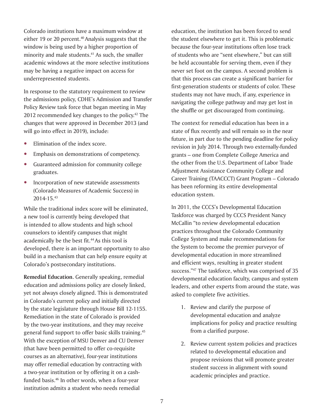Colorado institutions have a maximum window at either 19 or 20 percent.<sup>40</sup> Analysis suggests that the window is being used by a higher proportion of minority and male students. $41$  As such, the smaller academic windows at the more selective institutions may be having a negative impact on access for underrepresented students.

In response to the statutory requirement to review the admissions policy, CDHE's Admission and Transfer Policy Review task force that began meeting in May 2012 recommended key changes to the policy.<sup>42</sup> The changes that were approved in December 2013 (and will go into effect in 2019), include:

- Elimination of the index score.
- Emphasis on demonstrations of competency.
- Guaranteed admission for community college graduates.
- Incorporation of new statewide assessments (Colorado Measures of Academic Success) in 2014-15.43

While the traditional index score will be eliminated, a new tool is currently being developed that is intended to allow students and high school counselors to identify campuses that might academically be the best fit.<sup>44</sup> As this tool is developed, there is an important opportunity to also build in a mechanism that can help ensure equity at Colorado's postsecondary institutions.

**Remedial Education.** Generally speaking, remedial education and admissions policy are closely linked, yet not always closely aligned. This is demonstrated in Colorado's current policy and initially directed by the state legislature through House Bill 12-1155. Remediation in the state of Colorado is provided by the two-year institutions, and they may receive general fund support to offer basic skills training.45 With the exception of MSU Denver and CU Denver (that have been permitted to offer co-requisite courses as an alternative), four-year institutions may offer remedial education by contracting with a two-year institution or by offering it on a cashfunded basis.46 In other words, when a four-year institution admits a student who needs remedial

education, the institution has been forced to send the student elsewhere to get it. This is problematic because the four-year institutions often lose track of students who are "sent elsewhere," but can still be held accountable for serving them, even if they never set foot on the campus. A second problem is that this process can create a significant barrier for first-generation students or students of color. These students may not have much, if any, experience in navigating the college pathway and may get lost in the shuffle or get discouraged from continuing.

The context for remedial education has been in a state of flux recently and will remain so in the near future, in part due to the pending deadline for policy revision in July 2014. Through two externally-funded grants – one from Complete College America and the other from the U.S. Department of Labor Trade Adjustment Assistance Community College and Career Training (TAACCCT) Grant Program – Colorado has been reforming its entire developmental education system.

In 2011, the CCCS's Developmental Education Taskforce was charged by CCCS President Nancy McCallin "to review developmental education practices throughout the Colorado Community College System and make recommendations for the System to become the premier purveyor of developmental education in more streamlined and efficient ways, resulting in greater student success."<sup>47</sup> The taskforce, which was comprised of 35 developmental education faculty, campus and system leaders, and other experts from around the state, was asked to complete five activities.

- 1. Review and clarify the purpose of developmental education and analyze implications for policy and practice resulting from a clarified purpose.
- 2. Review current system policies and practices related to developmental education and propose revisions that will promote greater student success in alignment with sound academic principles and practice.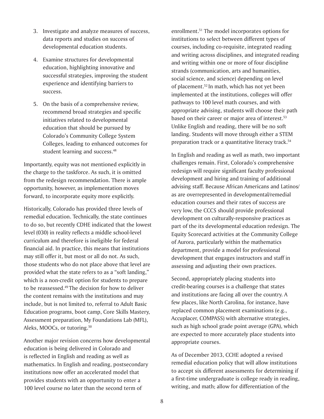- 3. Investigate and analyze measures of success, data reports and studies on success of developmental education students.
- 4. Examine structures for developmental education, highlighting innovative and successful strategies, improving the student experience and identifying barriers to success.
- 5. On the basis of a comprehensive review, recommend broad strategies and specific initiatives related to developmental education that should be pursued by Colorado's Community College System Colleges, leading to enhanced outcomes for student learning and success.<sup>48</sup>

Importantly, equity was not mentioned explicitly in the charge to the taskforce. As such, it is omitted from the redesign recommendation. There is ample opportunity, however, as implementation moves forward, to incorporate equity more explicitly.

Historically, Colorado has provided three levels of remedial education. Technically, the state continues to do so, but recently CDHE indicated that the lowest level (030) in reality reflects a middle school-level curriculum and therefore is ineligible for federal financial aid. In practice, this means that institutions may still offer it, but most or all do not. As such, those students who do not place above that level are provided what the state refers to as a "soft landing," which is a non-credit option for students to prepare to be reassessed.<sup>49</sup> The decision for how to deliver the content remains with the institutions and may include, but is not limited to, referral to Adult Basic Education programs, boot camp, Core Skills Mastery, Assessment preparation, My Foundations Lab (MFL), Aleks, MOOCs, or tutoring.<sup>50</sup>

Another major revision concerns how developmental education is being delivered in Colorado and is reflected in English and reading as well as mathematics. In English and reading, postsecondary institutions now offer an accelerated model that provides students with an opportunity to enter a 100 level course no later than the second term of

enrollment.51 The model incorporates options for institutions to select between different types of courses, including co-requisite, integrated reading and writing across disciplines, and integrated reading and writing within one or more of four discipline strands (communication, arts and humanities, social science, and science) depending on level of placement.52 In math, which has not yet been implemented at the institutions, colleges will offer pathways to 100 level math courses, and with appropriate advising, students will choose their path based on their career or major area of interest.<sup>53</sup> Unlike English and reading, there will be no soft landing. Students will move through either a STEM preparation track or a quantitative literacy track.<sup>54</sup>

In English and reading as well as math, two important challenges remain. First, Colorado's comprehensive redesign will require significant faculty professional development and hiring and training of additional advising staff. Because African Americans and Latinos/ as are overrepresented in developmental/remedial education courses and their rates of success are very low, the CCCS should provide professional development on culturally-responsive practices as part of the its developmental education redesign. The Equity Scorecard activities at the Community College of Aurora, particularly within the mathematics department, provide a model for professional development that engages instructors and staff in assessing and adjusting their own practices.

Second, appropriately placing students into credit-bearing courses is a challenge that states and institutions are facing all over the country. A few places, like North Carolina, for instance, have replaced common placement examinations (e.g., Accuplacer, COMPASS) with alternative strategies, such as high school grade point average (GPA), which are expected to more accurately place students into appropriate courses.

As of December 2013, CCHE adopted a revised remedial education policy that will allow institutions to accept six different assessments for determining if a first-time undergraduate is college ready in reading, writing, and math; allow for differentiation of the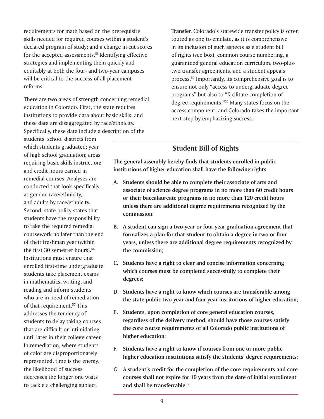requirements for math based on the prerequisite skills needed for required courses within a student's declared program of study; and a change in cut scores for the accepted assessments.<sup>55</sup> Identifying effective strategies and implementing them quickly and equitably at both the four- and two-year campuses will be critical to the success of all placement reforms.

There are two areas of strength concerning remedial education in Colorado. First, the state requires institutions to provide data about basic skills, and these data are disaggregated by race/ethnicity. Specifically, these data include a description of the

students; school districts from which students graduated; year of high school graduation; areas requiring basic skills instruction; and credit hours earned in remedial courses. Analyses are conducted that look specifically at gender, race/ethnicity, and adults by race/ethnicity. Second, state policy states that students have the responsibility to take the required remedial coursework no later than the end of their freshman year (within the first 30 semester hours).<sup>56</sup> Institutions must ensure that enrolled first-time undergraduate students take placement exams in mathematics, writing, and reading and inform students who are in need of remediation of that requirement.<sup>57</sup> This addresses the tendency of students to delay taking courses that are difficult or intimidating until later in their college career. In remediation, where students of color are disproportionately represented, time is the enemy: the likelihood of success decreases the longer one waits to tackle a challenging subject.

**Transfer.** Colorado's statewide transfer policy is often touted as one to emulate, as it is comprehensive in its inclusion of such aspects as a student bill of rights (see box), common course numbering, a guaranteed general education curriculum, two-plustwo transfer agreements, and a student appeals process.59 Importantly, its comprehensive goal is to ensure not only "access to undergraduate degree programs" but also to "facilitate completion of degree requirements."60 Many states focus on the access component, and Colorado takes the important next step by emphasizing success.

## **Student Bill of Rights**

**The general assembly hereby finds that students enrolled in public institutions of higher education shall have the following rights:**

- **A. Students should be able to complete their associate of arts and associate of science degree programs in no more than 60 credit hours or their baccalaureate programs in no more than 120 credit hours unless there are additional degree requirements recognized by the commission;**
- **B. A student can sign a two-year or four-year graduation agreement that formalizes a plan for that student to obtain a degree in two or four years, unless there are additional degree requirements recognized by the commission;**
- **C. Students have a right to clear and concise information concerning which courses must be completed successfully to complete their degrees;**
- **D. Students have a right to know which courses are transferable among the state public two-year and four-year institutions of higher education;**
- **E. Students, upon completion of core general education courses, regardless of the delivery method, should have those courses satisfy the core course requirements of all Colorado public institutions of higher education;**
- **F. Students have a right to know if courses from one or more public higher education institutions satisfy the students' degree requirements;**
- **G. A student's credit for the completion of the core requirements and core courses shall not expire for 10 years from the date of initial enrollment and shall be transferrable.58**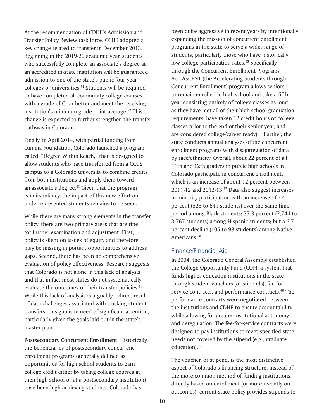At the recommendation of CDHE's Admission and Transfer Policy Review task force, CCHE adopted a key change related to transfer in December 2013. Beginning in the 2019-20 academic year, students who successfully complete an associate's degree at an accredited in-state institution will be guaranteed admission to one of the state's public four-year colleges or universities.<sup>61</sup> Students will be required to have completed all community college courses with a grade of C- or better and meet the receiving institution's minimum grade point average.<sup>62</sup> This change is expected to further strengthen the transfer pathway in Colorado.

Finally, in April 2014, with partial funding from Lumina Foundation, Colorado launched a program called, "Degree Within Reach," that is designed to allow students who have transferred from a CCCS campus to a Colorado university to combine credits from both institutions and apply them toward an associate's degree.63 Given that the program is in its infancy, the impact of this new effort on underrepresented students remains to be seen.

While there are many strong elements in the transfer policy, there are two primary areas that are ripe for further examination and adjustment. First, policy is silent on issues of equity and therefore may be missing important opportunities to address gaps. Second, there has been no comprehensive evaluation of policy effectiveness. Research suggests that Colorado is not alone in this lack of analysis and that in fact most states do not systematically evaluate the outcomes of their transfer policies.<sup>64</sup> While this lack of analysis is arguably a direct result of data challenges associated with tracking student transfers, this gap is in need of significant attention, particularly given the goals laid out in the state's master plan.

**Postsecondary Concurrent Enrollment**. Historically, the beneficiaries of postsecondary concurrent enrollment programs (generally defined as opportunities for high school students to earn college credit either by taking college courses at their high school or at a postsecondary institution) have been high-achieving students. Colorado has

been quite aggressive in recent years by intentionally expanding the mission of concurrent enrollment programs in the state to serve a wider range of students, particularly those who have historically low college participation rates.<sup>65</sup> Specifically through the Concurrent Enrollment Programs Act, ASCENT (the Accelerating Students through Concurrent Enrollment) program allows seniors to remain enrolled in high school and take a fifth year consisting entirely of college classes as long as they have met all of their high school graduation requirements, have taken 12 credit hours of college classes prior to the end of their senior year, and are considered college/career ready).<sup>66</sup> Further, the state conducts annual analyses of the concurrent enrollment programs with disaggregation of data by race/ethnicity. Overall, about 22 percent of all 11th and 12th graders in public high schools in Colorado participate in concurrent enrollment, which is an increase of about 12 percent between 2011-12 and 2012-13.67 Data also suggest increases in minority participation with an increase of 22.1 percent (525 to 641 students) over the same time period among Black students; 37.3 percent (2,744 to 3,767 students) among Hispanic students; but a 6.7 percent decline (105 to 98 students) among Native Americans.<sup>68</sup>

### Finance/Financial Aid

In 2004, the Colorado General Assembly established the College Opportunity Fund (COF), a system that funds higher education institutions in the state through student vouchers (or stipends), fee-forservice contracts, and performance contracts.<sup>69</sup> The performance contracts were negotiated between the institutions and CDHE to ensure accountability while allowing for greater institutional autonomy and deregulation. The fee-for-service contracts were designed to pay institutions to meet specified state needs not covered by the stipend (e.g., graduate education).<sup>70</sup>

The voucher, or stipend, is the most distinctive aspect of Colorado's financing structure. Instead of the more common method of funding institutions directly based on enrollment (or more recently on outcomes), current state policy provides stipends to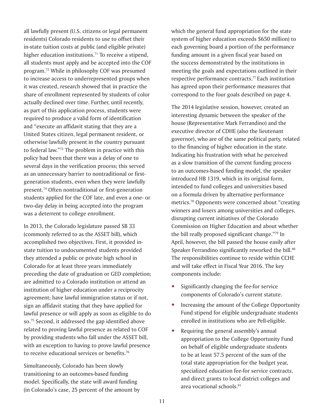all lawfully present (U.S. citizens or legal permanent residents) Colorado residents to use to offset their in-state tuition costs at public (and eligible private) higher education institutions.<sup>71</sup> To receive a stipend, all students must apply and be accepted into the COF program.72 While in philosophy COF was presumed to increase access to underrepresented groups when it was created, research showed that in practice the share of enrollment represented by students of color actually declined over time. Further, until recently, as part of this application process, students were required to produce a valid form of identification and "execute an affidavit stating that they are a United States citizen, legal permanent resident, or otherwise lawfully present in the country pursuant to federal law."73 The problem in practice with this policy had been that there was a delay of one to several days in the verification process; this served as an unnecessary barrier to nontraditional or firstgeneration students, even when they were lawfully present.74 Often nontraditional or first-generation students applied for the COF late, and even a one- or two-day delay in being accepted into the program was a deterrent to college enrollment.

In 2013, the Colorado legislature passed SB 33 (commonly referred to as the ASSET bill), which accomplished two objectives. First, it provided instate tuition to undocumented students provided they attended a public or private high school in Colorado for at least three years immediately preceding the date of graduation or GED completion; are admitted to a Colorado institution or attend an institution of higher education under a reciprocity agreement; have lawful immigration status or if not, sign an affidavit stating that they have applied for lawful presence or will apply as soon as eligible to do so.75 Second, it addressed the gap identified above related to proving lawful presence as related to COF by providing students who fall under the ASSET bill, with an exception to having to prove lawful presence to receive educational services or benefits.76

Simultaneously, Colorado has been slowly transitioning to an outcomes-based funding model. Specifically, the state will award funding (in Colorado's case, 25 percent of the amount by which the general fund appropriation for the state system of higher education exceeds \$650 million) to each governing board a portion of the performance funding amount in a given fiscal year based on the success demonstrated by the institutions in meeting the goals and expectations outlined in their respective performance contracts.<sup>77</sup> Each institution has agreed upon their performance measures that correspond to the four goals described on page 4.

The 2014 legislative session, however, created an interesting dynamic between the speaker of the house (Representative Mark Ferrandino) and the executive director of CDHE (also the lieutenant governor), who are of the same political party, related to the financing of higher education in the state. Indicating his frustration with what he perceived as a slow transition of the current funding process to an outcomes-based funding model, the speaker introduced HB 1319, which in its original form, intended to fund colleges and universities based on a formula driven by alternative performance metrics.78 Opponents were concerned about "creating winners and losers among universities and colleges, disrupting current initiatives of the Colorado Commission on Higher Education and about whether the bill really proposed significant change."79 In April, however, the bill passed the house easily after Speaker Ferrandino significantly reworked the bill.<sup>80</sup> The responsibilities continue to reside within CCHE and will take effect in Fiscal Year 2016. The key components include:

- Significantly changing the fee-for service components of Colorado's current statute.
- Increasing the amount of the College Opportunity Fund stipend for eligible undergraduate students enrolled in institutions who are Pell-eligible.
- Requiring the general assembly's annual appropriation to the College Opportunity Fund on behalf of eligible undergraduate students to be at least 57.5 percent of the sum of the total state appropriation for the budget year, specialized education fee-for service contracts, and direct grants to local district colleges and area vocational schools.81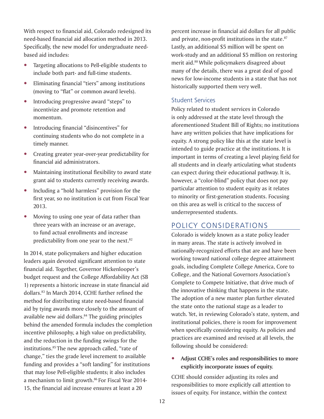With respect to financial aid, Colorado redesigned its need-based financial aid allocation method in 2013. Specifically, the new model for undergraduate needbased aid includes:

- Targeting allocations to Pell-eligible students to include both part- and full-time students.
- Eliminating financial "tiers" among institutions (moving to "flat" or common award levels).
- Introducing progressive award "steps" to incentivize and promote retention and momentum.
- Introducing financial "disincentives" for continuing students who do not complete in a timely manner.
- Creating greater year-over-year predictability for financial aid administrators.
- Maintaining institutional flexibility to award state grant aid to students currently receiving awards.
- Including a "hold harmless" provision for the first year, so no institution is cut from Fiscal Year 2013.
- Moving to using one year of data rather than three years with an increase or an average, to fund actual enrollments and increase predictability from one year to the next.<sup>82</sup>

In 2014, state policymakers and higher education leaders again devoted significant attention to state financial aid. Together, Governor Hickenlooper's budget request and the College Affordability Act (SB 1) represents a historic increase in state financial aid dollars.<sup>83</sup> In March 2014, CCHE further refined the method for distributing state need-based financial aid by tying awards more closely to the amount of available new aid dollars.<sup>84</sup> The guiding principles behind the amended formula includes the completion incentive philosophy, a high value on predictability, and the reduction in the funding swings for the institutions.85 The new approach called, "rate of change," ties the grade level increment to available funding and provides a "soft landing" for institutions that may lose Pell-eligible students; it also includes a mechanism to limit growth.<sup>86</sup> For Fiscal Year 2014-15, the financial aid increase ensures at least a 20

percent increase in financial aid dollars for all public and private, non-profit institutions in the state.<sup>87</sup> Lastly, an additional \$5 million will be spent on work-study and an additional \$5 million on restoring merit aid.88 While policymakers disagreed about many of the details, there was a great deal of good news for low-income students in a state that has not historically supported them very well.

## Student Services

Policy related to student services in Colorado is only addressed at the state level through the aforementioned Student Bill of Rights; no institutions have any written policies that have implications for equity. A strong policy like this at the state level is intended to guide practice at the institutions. It is important in terms of creating a level playing field for all students and in clearly articulating what students can expect during their educational pathway. It is, however, a "color-blind" policy that does not pay particular attention to student equity as it relates to minority or first-generation students. Focusing on this area as well is critical to the success of underrepresented students.

## POLICY CONSIDERATIONS

Colorado is widely known as a state policy leader in many areas. The state is actively involved in nationally-recognized efforts that are and have been working toward national college degree attainment goals, including Complete College America, Core to College, and the National Governors Association's Complete to Compete Initiative, that drive much of the innovative thinking that happens in the state. The adoption of a new master plan further elevated the state onto the national stage as a leader to watch. Yet, in reviewing Colorado's state, system, and institutional policies, there is room for improvement when specifically considering equity. As policies and practices are examined and revised at all levels, the following should be considered:

y **Adjust CCHE's roles and responsibilities to more explicitly incorporate issues of equity.**

CCHE should consider adjusting its roles and responsibilities to more explicitly call attention to issues of equity. For instance, within the context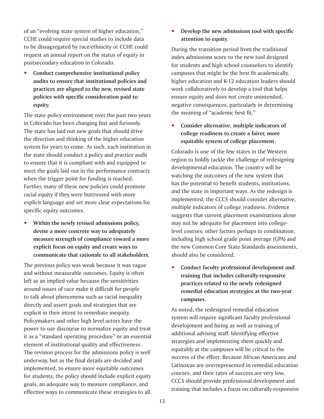of an "evolving state system of higher education," CCHE could require special studies to include data to be dissagregated by race/ethnicity or CCHE could request an annual report on the status of equity in postsecondary education in Colorado.

**Conduct comprehensive institutional policy audits to ensure that institutional policies and practices are aligned to the new, revised state policies with specific consideration paid to equity.**

The state policy environment over the past two years in Colorado has been changing fast and furiously. The state has laid out new goals that should drive the direction and thinking of the higher education system for years to come. As such, each institution in the state should conduct a policy and practice audit to ensure that it is compliant with and equipped to meet the goals laid out in the performance contracts when the trigger point for funding is reached. Further, many of these new policies could promote racial equity if they were buttressed with more explicit language and set more clear expectations for specific equity outcomes.

y **Within the newly revised admissions policy, devise a more concrete way to adequately measure strength of compliance toward a more explicit focus on equity and create ways to communicate that rationale to all stakeholders.**

The previous policy was weak because it was vague and without measurable outcomes. Equity is often left as an implied value because the sensitivities around issues of race make it difficult for people to talk about phenomena such as racial inequality directly and assert goals and strategies that are explicit in their intent to remediate inequity. Policymakers and other high level actors have the power to use discourse to normalize equity and treat it as a "standard operating procedure" or an essential element of institutional quality and effectiveness. The revision process for the admissions policy is well underway, but as the final details are decided and implemented, to ensure more equitable outcomes for students, the policy should include explicit equity goals, an adequate way to measure compliance, and effective ways to communicate these strategies to all. Develop the new admissions tool with specific **attention to equity.**

During the transition period from the traditional index admissions score to the new tool designed for students and high school counselors to identify campuses that might be the best fit academically, higher education and K-12 education leaders should work collaboratively to develop a tool that helps ensure equity and does not create unintended, negative consequences, particularly in determining the meaning of "academic best fit."

**•** Consider alternative, multiple indicators of **college readiness to create a fairer, more equitable system of college placement.**

Colorado is one of the few states in the Western region to boldly tackle the challenge of redesigning developmental education. The country will be watching the outcomes of the new system that has the potential to benefit students, institutions, and the state in important ways. As the redesign is implemented, the CCCS should consider alternative, multiple indicators of college readiness. Evidence suggests that current placement examinations alone may not be adequate for placement into collegelevel courses; other factors perhaps in combination, including high school grade point average (GPA) and the new Common Core State Standards assessments, should also be considered.

**Conduct faculty professional development and training that includes culturally-responsive practices related to the newly redesigned remedial education strategies at the two-year campuses.**

As noted, the redesigned remedial education system will require significant faculty professional development and hiring as well as training of additional advising staff. Identifying effective strategies and implementing them quickly and equitably at the campuses will be critical to the success of the effort. Because African Americans and Latinos/as are overrepresented in remedial education courses, and their rates of success are very low, CCCS should provide professional development and training that includes a focus on culturally-responsive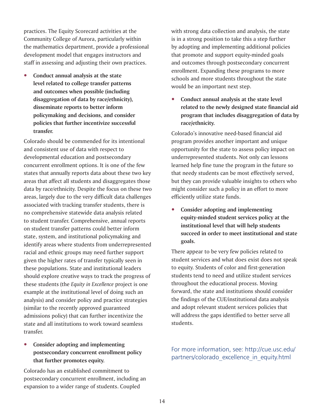practices. The Equity Scorecard activities at the Community College of Aurora, particularly within the mathematics department, provide a professional development model that engages instructors and staff in assessing and adjusting their own practices.

y **Conduct annual analysis at the state level related to college transfer patterns and outcomes when possible (including disaggregation of data by race/ethnicity), disseminate reports to better inform policymaking and decisions, and consider policies that further incentivize successful transfer.**

Colorado should be commended for its intentional and consistent use of data with respect to developmental education and postsecondary concurrent enrollment options. It is one of the few states that annually reports data about these two key areas that affect all students and disaggregates those data by race/ethnicity. Despite the focus on these two areas, largely due to the very difficult data challenges associated with tracking transfer students, there is no comprehensive statewide data analysis related to student transfer. Comprehensive, annual reports on student transfer patterns could better inform state, system, and institutional policymaking and identify areas where students from underrepresented racial and ethnic groups may need further support given the higher rates of transfer typically seen in these populations. State and institutional leaders should explore creative ways to track the progress of these students (the *Equity in Excellence* project is one example at the institutional level of doing such an analysis) and consider policy and practice strategies (similar to the recently approved guaranteed admissions policy) that can further incentivize the state and all institutions to work toward seamless transfer.

## **•** Consider adopting and implementing **postsecondary concurrent enrollment policy that further promotes equity.**

Colorado has an established commitment to postsecondary concurrent enrollment, including an expansion to a wider range of students. Coupled

with strong data collection and analysis, the state is in a strong position to take this a step further by adopting and implementing additional policies that promote and support equity-minded goals and outcomes through postsecondary concurrent enrollment. Expanding these programs to more schools and more students throughout the state would be an important next step.

Conduct annual analysis at the state level **related to the newly designed state financial aid program that includes disaggregation of data by race/ethnicity.**

Colorado's innovative need-based financial aid program provides another important and unique opportunity for the state to assess policy impact on underrepresented students. Not only can lessons learned help fine tune the program in the future so that needy students can be most effectively served, but they can provide valuable insights to others who might consider such a policy in an effort to more efficiently utilize state funds.

**Consider adopting and implementing equity-minded student services policy at the institutional level that will help students succeed in order to meet institutional and state goals.**

There appear to be very few policies related to student services and what does exist does not speak to equity. Students of color and first-generation students tend to need and utilize student services throughout the educational process. Moving forward, the state and institutions should consider the findings of the CUE/institutional data analysis and adopt relevant student services policies that will address the gaps identified to better serve all students.

For more information, see: http://cue.usc.edu/ partners/colorado excellence in equity.html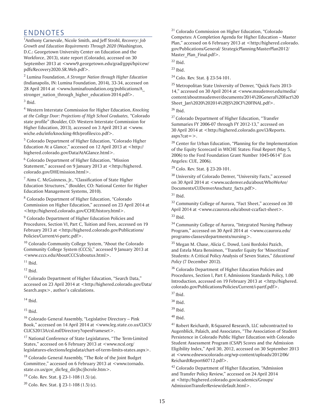## ENDNOTES

1 Anthony Carnevale, Nicole Smith, and Jeff Strohl, *Recovery: Job Growth and Education Requirements Through 2020* (Washington, D.C.: Georgetown University Center on Education and the Workforce, 2013), state report (Colorado), accessed on 30 September 2013 at <www9.georgetown.edu/grad/gppi/hpi/cew/ pdfs/Recovery2020.SR.Web.pdf>.

2 Lumina Foundation, *A Stronger Nation through Higher Education* (Indianapolis, IN: Lumina Foundation, 2014), 33-34, accessed on 28 April 2014 at <www.luminafoundation.org/publications/A\_ stronger nation through higher education-2014.pdf>.  $3$  Ibid.

4 Western Interstate Commission for Higher Education, *Knocking at the College Door: Projections of High School Graduates, "*Colorado state profile" (Boulder, CO: Western Interstate Commission for Higher Education, 2013), accessed on 3 April 2013 at <www. wiche.edu/info/knocking-8th/profiles/co.pdf>.

<sup>5</sup> Colorado Department of Higher Education, "Colorado Higher Education At a Glance," accessed on 12 April 2013 at <http:// highered.colorado.gov/Data/AtAGlance.html>.

<sup>6</sup> Colorado Department of Higher Education, "Mission Statement," accessed on 9 January 2013 at <http://highered. colorado.gov/DHE/mission.html>.

 $^7$  Aims C. McGuinness, Jr., "Classification of State Higher Education Structures," (Boulder, CO: National Center for Higher Education Management Systems, 2010).

<sup>8</sup> Colorado Department of Higher Education, "Colorado Commission on Higher Education," accessed on 23 April 2014 at <http://highered.colorado.gov/CCHE/history.html>.

<sup>9</sup> Colorado Department of Higher Education Policies and Procedures, Section VI, Part C, Tuition and Fees, accessed on 19 February 2013 at <http://highered.colorado.gov/Publications/ Policies/Current/vi-partc.pdf>.

<sup>10</sup> Colorado Community College System, "About the Colorado" Community College System (CCCS)," accessed 9 January 2013 at <www.cccs.edu/AboutCCCS/aboutus.html>.

 $11$  Ibid.

 $12$  Ibid.

<sup>13</sup> Colorado Department of Higher Education, "Search Data," accessed on 23 April 2014 at <http://highered.colorado.gov/Data/ Search.aspx>, author's calculations.

 $14$  Ibid.

 $15$  Ibid.

 $16$  Colorado General Assembly, "Legislative Directory - Pink Book," accessed on 14 April 2014 at <www.leg.state.co.us/CLICS/ CLICS2013A/csl.nsf/Directory?openFrameset>.

<sup>17</sup> National Conference of State Legislatures, "The Term-Limited States," accessed on 6 February 2013 at <www.ncsl.org/ legislatures-elections/legisdata/chart-of-term-limits-states.aspx>.

<sup>18</sup> Colorado General Assembly, "The Role of the Joint Budget Committee," accessed on 6 February 2013 at <www.tornado. state.co.us/gov\_dir/leg\_dir/jbc/jbcrole.htm>.

19 Colo. Rev. Stat. § 23-1-108 (1.5) (a).

<sup>20</sup> Colo. Rev. Stat. § 23-1-108 (1.5) (c).

21 Colorado Commission on Higher Education, "Colorado Competes: A Completion Agenda for Higher Education – Master Plan," accessed on 6 February 2013 at <http://highered.colorado. gov/Publications/General/ StrategicPlanning/MasterPlan2012/ Master Plan Final.pdf>.

 $22$  Ibid.

 $23$  Ibid.

<sup>24</sup> Colo. Rev. Stat. § 23-54-101.

25 Metropolitan State University of Denver, "Quick Facts 2013- 14," accessed on 30 April 2014 at <www.msudenver.edu/media/ content/aboutmsudenver/documents/2014%20General%20Fact%20 Sheet\_Jan%2020%202014%20JS%20CF%20FINAL.pdf>.

26 Ibid.

<sup>27</sup> Colorado Department of Higher Education, "Transfer Summaries FY 2006-07 through FY 2012-13," accessed on 30 April 2014 at <http://highered.colorado.gov/i3/Reports. aspx?cat=>.

<sup>28</sup> Center for Urban Education, "Planning for the Implementation of the Equity Scorecard in WICHE States: Final Report (May 5, 2006) to the Ford Foundation Grant Number 1045-0614" (Los Angeles: CUE, 2006).

<sup>29</sup> Colo. Rev. Stat. § 23-20-101.

<sup>30</sup> University of Colorado Denver, "University Facts," accessed on 30 April 2014 at <www.ucdenver.edu/about/WhoWeAre/ Documents/CUDenverAnschutz\_facts.pdf>.

 $31$  Ibid.

<sup>32</sup> Community College of Aurora, "Fact Sheet," accessed on 30 April 2014 at <www.ccaurora.edu/about-cca/fact-sheet>.  $33$  Ibid.

<sup>34</sup> Community College of Aurora, "Integrated Nursing Pathway Program," accessed on 30 April 2014 at <www.ccaurora.edu/ programs-classes/departments/nursing>.

35 Megan M. Chase, Alicia C. Dowd, Loni Bordoloi Pazich, and Estela Mara Bensimon, "Transfer Equity for 'Minoritized' Students: A Critical Policy Analysis of Seven States," *Educational Policy* (7 December 2012).

<sup>36</sup> Colorado Department of Higher Education Policies and Procedures, Section I, Part F, Admissions Standards Policy, 1.00 Introduction, accessed on 19 February 2013 at <http://highered. colorado.gov/Publications/Policies/Current/i-partf.pdf>.

 $37$  Ibid.

<sup>41</sup> Robert Reichardt, R-Squared Research, LLC subcontracted to Augenblick, Palaich, and Associates, "The Association of Student Persistence in Colorado Public Higher Education with Colorado Student Assessment Program (CSAP) Scores and the Admission Eligibility Index," April 30, 2012, accessed on 30 September 2013 at <www.ednewscolorado.org/wp-content/uploads/2012/06/ ReichardtReport60712.pdf>.

<sup>42</sup> Colorado Department of Higher Education, "Admission and Transfer Policy Review," accessed on 24 April 2014 at <http://highered.colorado.gov/academics/Groups/ AdmissionTransferReview/default.html>.

<sup>38</sup> Ibid.

 $39$  Ibid.

 $40$  Ibid.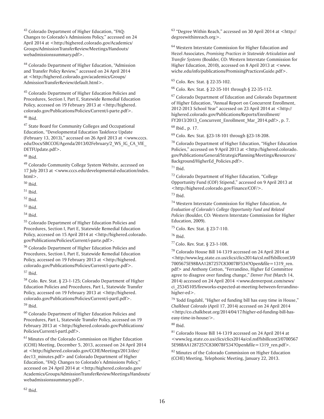43 Colorado Department of Higher Education, "FAQ: Changes to Colorado's Admissions Policy," accessed on 24 April 2014 at <http://highered.colorado.gov/Academics/ Groups/AdmissionTransferReview/Meetings/Handouts/ webadmissionssummary.pdf>.

44 Colorado Department of Higher Education, "Admission and Transfer Policy Review," accessed on 24 April 2014 at <http://highered.colorado.gov/academics/Groups/ AdmissionTransferReview/default.html>.

45 Colorado Department of Higher Education Policies and Procedures, Section I, Part E, Statewide Remedial Education Policy, accessed on 19 February 2013 at <http://highered. colorado.gov/Publications/Policies/Current/i-parte.pdf>.

 $46$  Ibid.

<sup>47</sup> State Board for Community Colleges and Occupational Education, "Developmental Education Taskforce Update (February 13, 2013)," accessed on 26 April 2013 at <www.cccs. edu/Docs/SBCCOE/Agenda/2013/02February/2\_WS\_IG\_CA\_VIE\_ DETFUpdate.pdf>.

 $48$  Ibid.

<sup>49</sup> Colorado Community College System Website, accessed on 17 July 2013 at <www.cccs.edu/developmental-education/index. html>.

 $50$  Ibid.

 $51$  Ibid.

52 Ibid.

 $53$  Ibid.

54 Ibid.

55 Colorado Department of Higher Education Policies and Procedures, Section I, Part E, Statewide Remedial Education Policy, accessed on 15 April 2014 at <http://highered.colorado. gov/Publications/Policies/Current/i-parte.pdf>.

56 Colorado Department of Higher Education Policies and Procedures, Section I, Part E, Statewide Remedial Education Policy, accessed on 19 February 2013 at <http://highered. colorado.gov/Publications/Policies/Current/i-parte.pdf>.

57 Ibid.

 $58$  Colo. Rev. Stat. § 23-1-125; Colorado Department of Higher Education Policies and Procedures, Part L, Statewide Transfer Policy, accessed on 19 February 2013 at <http://highered. colorado.gov/Publications/Policies/Current/i-partl.pdf>.

59 Ibid.

60 Colorado Department of Higher Education Policies and Procedures, Part L, Statewide Transfer Policy, accessed on 19 February 2013 at <http://highered.colorado.gov/Publications/ Policies/Current/i-partl.pdf>.

<sup>61</sup> Minutes of the Colorado Commission on Higher Education (CCHE) Meeting, December 5, 2013, accessed on 24 April 2014 at <http://highered.colorado.gov/CCHE/Meetings/2013/dec/ dec13\_minutes.pdf> and Colorado Department of Higher Education, "FAQ: Changes to Colorado's Admissions Policy," accessed on 24 April 2014 at <http://highered.colorado.gov/ Academics/Groups/AdmissionTransferReview/Meetings/Handouts/ webadmissionssummary.pdf>.

 $63$  "Degree Within Reach," accessed on 30 April 2014 at  $\lt$ http:// degreewithinreach.org>.

<sup>64</sup> Western Interstate Commission for Higher Education and Hezel Associates, *Promising Practices in Statewide Articulation and Transfer Systems* (Boulder, CO: Western Interstate Commission for Higher Education, 2010), accessed on 8 April 2013 at <www. wiche.edu/info/publications/PromisingPracticesGuide.pdf>.

65 Colo. Rev. Stat. § 22-35-102.

66 Colo. Rev. Stat. § 22-35-101 through § 22-35-112.

67 Colorado Department of Education and Colorado Department of Higher Education, "Annual Report on Concurrent Enrollment, 2012-2013 School Year" accessed on 23 April 2014 at <http:// highered.colorado.gov/Publications/Reports/Enrollment/ FY2013/2013 Concurrent Enrollment Mar  $2014$ .pdf>, p. 7.

68 Ibid., p. 17.

69 Colo. Rev. Stat. §23-18-101 through §23-18-208.

 $70$  Colorado Department of Higher Education, "Higher Education Policies," accessed on 9 April 2013 at <http://highered.colorado. gov/Publications/General/StrategicPlanning/Meetings/Resources/ Background/HigherEd\_Policies.pdf>.

 $71$  Ibid.

72 Colorado Department of Higher Education, "College Opportunity Fund (COF) Stipend," accessed on 9 April 2013 at <http://highered.colorado.gov/Finance/COF/>.

73 Ibid.

74 Western Interstate Commission for Higher Education, *An Evaluation of Colorado's College Opportunity Fund and Related Policies* (Boulder, CO: Western Interstate Commission for Higher Education, 2009).

75 Colo. Rev. Stat. § 23-7-110.

76 Ibid.

77 Colo. Rev. Stat. § 23-1-108.

78 Colorado House Bill 14-1319 accessed on 24 April 2014 at <http://www.leg.state.co.us/clics/clics2014a/csl.nsf/fsbillcont3/0 7005675E98BAA1287257C83007BF534?Open&file=1319\_ren. pdf> and Anthony Cotton, "Ferrandino, Higher Ed Committee agree to disagree over funding change," *Denver Post* (March 14, 2014) accessed on 24 April 2014 <www.denverpost.com/news/ ci\_25345105/fireworks-expected-at-meeting-between-ferrandinohigher-ed>.

 $79$  Todd Engdahl, "Higher ed funding bill has easy time in House," *Chalkbeat Colorado* (April 17, 2014) accessed on 24 April 2014 <http://co.chalkbeat.org/2014/04/17/higher-ed-funding-bill-haseasy-time-in-house/>.

 $80$  Ibid.

81 Colorado House Bill 14-1319 accessed on 24 April 2014 at <www.leg.state.co.us/clics/clics2014a/csl.nsf/fsbillcont3/0700567 5E98BAA1287257C83007BF534?Open&file=1319\_ren.pdf>.

82 Minutes of the Colorado Commission on Higher Education (CCHE) Meeting, Telephonic Meeting, January 22, 2013.

 $62$  Ibid.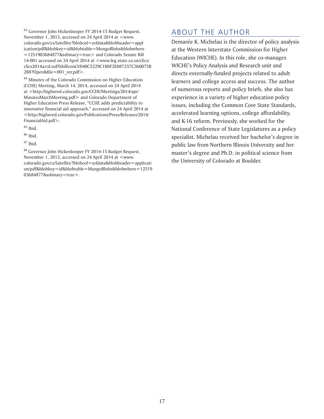83 Governor John Hickenlooper FY 2014-15 Budget Request, November 1, 2013, accessed on 24 April 2014 at <www. colorado.gov/cs/Satellite?blobcol=urldata&blobheader=appl ication/pdf&blobkey=id&blobtable=MungoBlobs&blobwhere =1251903684877&ssbinary=true> and Colorado Senate Bill 14-001 accessed on 24 April 2014 at <www.leg.state.co.us/clics/ clics2014a/csl.nsf/fsbillcont3/040C5229C1B8F2E087257C360075B 2B8?Open&file=001\_rer.pdf>.

84 Minutes of the Colorado Commission on Higher Education (CCHE) Meeting, March 14, 2014, accessed on 24 April 2014 at <http://highered.colorado.gov/CCHE/Meetings/2014/apr/ MinutesMarchMeeting.pdf> and Colorado Department of Higher Education Press Release, "CCHE adds predictability to innovative financial aid approach," accessed on 24 April 2014 at <http://highered.colorado.gov/Publications/Press/Releases/2014/ FinancialAid.pdf>.

 $85$  Ibid.

 $86$  Ibid.

87 Ibid.

88 Governor John Hickenlooper FY 2014-15 Budget Request, November 1, 2013, accessed on 24 April 2014 at <www. colorado.gov/cs/Satellite?blobcol=urldata&blobheader=applicati on/pdf&blobkey=id&blobtable=MungoBlobs&blobwhere=12519 03684877&ssbinary=true>.

# ABOUT THE AUTHOR

Demarée K. Michelau is the director of policy analysis at the Western Interstate Commission for Higher Education (WICHE). In this role, she co-manages WICHE's Policy Analysis and Research unit and directs externally-funded projects related to adult learners and college access and success. The author of numerous reports and policy briefs, she also has experience in a variety of higher education policy issues, including the Common Core State Standards, accelerated learning options, college affordability, and K-16 reform. Previously, she worked for the National Conference of State Legislatures as a policy specialist. Michelau received her bachelor's degree in public law from Northern Illinois University and her master's degree and Ph.D. in political science from the University of Colorado at Boulder.